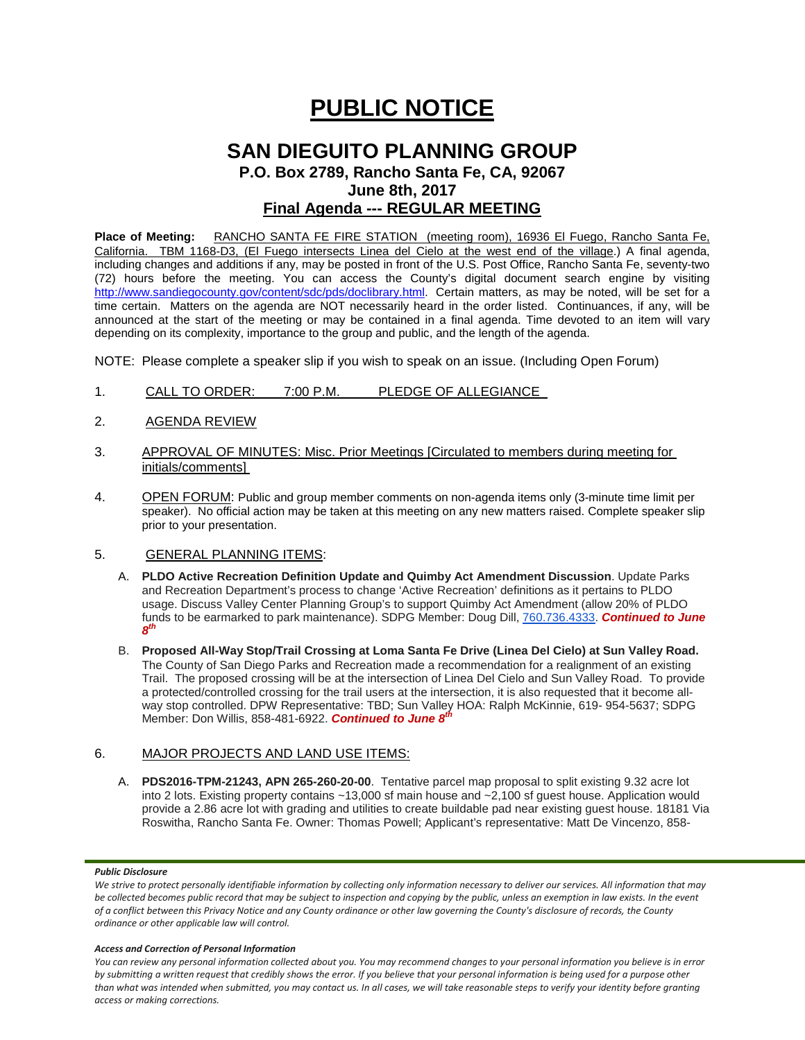# **PUBLIC NOTICE**

# **SAN DIEGUITO PLANNING GROUP P.O. Box 2789, Rancho Santa Fe, CA, 92067 June 8th, 2017 Final Agenda --- REGULAR MEETING**

Place of Meeting: RANCHO SANTA FE FIRE STATION (meeting room), 16936 El Fuego, Rancho Santa Fe, California. TBM 1168-D3, (El Fuego intersects Linea del Cielo at the west end of the village.) A final agenda, including changes and additions if any, may be posted in front of the U.S. Post Office, Rancho Santa Fe, seventy-two (72) hours before the meeting. You can access the County's digital document search engine by visiting <http://www.sandiegocounty.gov/content/sdc/pds/doclibrary.html>. Certain matters, as may be noted, will be set for a time certain. Matters on the agenda are NOT necessarily heard in the order listed. Continuances, if any, will be announced at the start of the meeting or may be contained in a final agenda. Time devoted to an item will vary depending on its complexity, importance to the group and public, and the length of the agenda.

NOTE: Please complete a speaker slip if you wish to speak on an issue. (Including Open Forum)

- 1. CALL TO ORDER: 7:00 P.M. PLEDGE OF ALLEGIANCE
- 2. AGENDA REVIEW
- 3. APPROVAL OF MINUTES: Misc. Prior Meetings [Circulated to members during meeting for initials/comments]
- 4. OPEN FORUM: Public and group member comments on non-agenda items only (3-minute time limit per speaker). No official action may be taken at this meeting on any new matters raised. Complete speaker slip prior to your presentation.

## 5. GENERAL PLANNING ITEMS:

- A. **PLDO Active Recreation Definition Update and Quimby Act Amendment Discussion**. Update Parks and Recreation Department's process to change 'Active Recreation' definitions as it pertains to PLDO usage. Discuss Valley Center Planning Group's to support Quimby Act Amendment (allow 20% of PLDO funds to be earmarked to park maintenance). SDPG Member: Doug Dill, [760.736.4333.](tel:(760)%20736-4333) *Continued to June 8th*
- B. **Proposed All-Way Stop/Trail Crossing at Loma Santa Fe Drive (Linea Del Cielo) at Sun Valley Road.** The County of San Diego Parks and Recreation made a recommendation for a realignment of an existing Trail. The proposed crossing will be at the intersection of Linea Del Cielo and Sun Valley Road. To provide a protected/controlled crossing for the trail users at the intersection, it is also requested that it become allway stop controlled. DPW Representative: TBD; Sun Valley HOA: Ralph McKinnie, 619- [954-5637;](tel:(619)%20954-5637) SDPG Member: Don Willis, [858-481-6922.](tel:(858)%20481-6922) *Continued to June 8th*

# 6. MAJOR PROJECTS AND LAND USE ITEMS:

A. **PDS2016-TPM-21243, APN 265-260-20-00**. Tentative parcel map proposal to split existing 9.32 acre lot into 2 lots. Existing property contains ~13,000 sf main house and ~2,100 sf guest house. Application would provide a 2.86 acre lot with grading and utilities to create buildable pad near existing guest house. 18181 Via Roswitha, Rancho Santa Fe. Owner: Thomas Powell; Applicant's representative: Matt De Vincenzo, 858-

#### *Public Disclosure*

#### *Access and Correction of Personal Information*

*You can review any personal information collected about you. You may recommend changes to your personal information you believe is in error by submitting a written request that credibly shows the error. If you believe that your personal information is being used for a purpose other than what was intended when submitted, you may contact us. In all cases, we will take reasonable steps to verify your identity before granting access or making corrections.*

*We strive to protect personally identifiable information by collecting only information necessary to deliver our services. All information that may be collected becomes public record that may be subject to inspection and copying by the public, unless an exemption in law exists. In the event of a conflict between this Privacy Notice and any County ordinance or other law governing the County's disclosure of records, the County ordinance or other applicable law will control.*